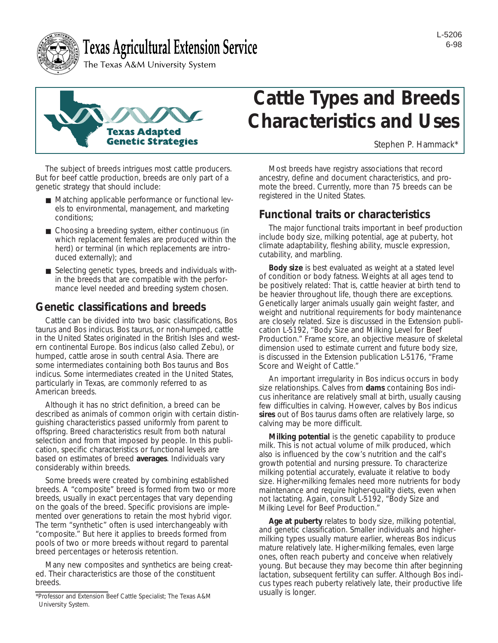



# **Texas Agricultural Extension Service**

The Texas A&M University System



The subject of breeds intrigues most cattle producers. But for beef cattle production, breeds are only part of a genetic strategy that should include:

- Matching applicable performance or functional levels to environmental, management, and marketing conditions;
- Choosing a breeding system, either continuous (in which replacement females are produced within the herd) or terminal (in which replacements are introduced externally); and
- Selecting genetic types, breeds and individuals within the breeds that are compatible with the performance level needed and breeding system chosen.

## **Genetic classifications and breeds**

Cattle can be divided into two basic classifications, *Bos taurus* and *Bos indicus*. *Bos taurus*, or non-humped, cattle in the United States originated in the British Isles and western continental Europe. *Bos indicus* (also called Zebu), or humped, cattle arose in south central Asia. There are some intermediates containing both *Bos taurus* and *Bos indicus*. Some intermediates created in the United States, particularly in Texas, are commonly referred to as American breeds.

Although it has no strict definition, a breed can be described as animals of common origin with certain distinguishing characteristics passed uniformly from parent to offspring. Breed characteristics result from both natural selection and from that imposed by people. In this publication, specific characteristics or functional levels are based on estimates of breed **averages**. Individuals vary considerably within breeds.

Some breeds were created by combining established breeds. A "composite" breed is formed from two or more breeds, usually in exact percentages that vary depending on the goals of the breed. Specific provisions are implemented over generations to retain the most hybrid vigor. The term "synthetic" often is used interchangeably with "composite." But here it applies to breeds formed from pools of two or more breeds without regard to parental breed percentages or heterosis retention.

Many new composites and synthetics are being created. Their characteristics are those of the constituent breeds.

# **Cattle Types and Breeds Characteristics and Uses**

*Stephen P. Hammack\**

Most breeds have registry associations that record ancestry, define and document characteristics, and promote the breed. Currently, more than 75 breeds can be registered in the United States.

## **Functional traits or characteristics**

The major functional traits important in beef production include body size, milking potential, age at puberty, hot climate adaptability, fleshing ability, muscle expression, cutability, and marbling.

**Body size** is best evaluated as weight at a stated level of condition or body fatness. Weights at all ages tend to be positively related: That is, cattle heavier at birth tend to be heavier throughout life, though there are exceptions. Genetically larger animals usually gain weight faster, and weight and nutritional requirements for body maintenance are closely related. Size is discussed in the Extension publication L-5192, "Body Size and Milking Level for Beef Production." Frame score, an objective measure of skeletal dimension used to estimate current and future body size, is discussed in the Extension publication L-5176, "Frame Score and Weight of Cattle."

An important irregularity in *Bos indicus* occurs in body size relationships. Calves from **dams** containing *Bos indicus* inheritance are relatively small at birth, usually causing few difficulties in calving. However, calves by *Bos indicus* **sires** out of *Bos taurus* dams often are relatively large, so calving may be more difficult.

**Milking potential** is the genetic capability to produce milk. This is not actual volume of milk produced, which also is influenced by the cow's nutrition and the calf's growth potential and nursing pressure. To characterize milking potential accurately, evaluate it relative to body size. Higher-milking females need more nutrients for body maintenance and require higher-quality diets, even when not lactating. Again, consult L-5192, "Body Size and Milking Level for Beef Production."

**Age at puberty** relates to body size, milking potential, and genetic classification. Smaller individuals and highermilking types usually mature earlier, whereas *Bos indicus* mature relatively late. Higher-milking females, even large ones, often reach puberty and conceive when relatively young. But because they may become thin after beginning lactation, subsequent fertility can suffer. Although *Bos indicus* types reach puberty relatively late, their productive life usually is longer.

<sup>\*</sup>Professor and Extension Beef Cattle Specialist; The Texas A&M University System.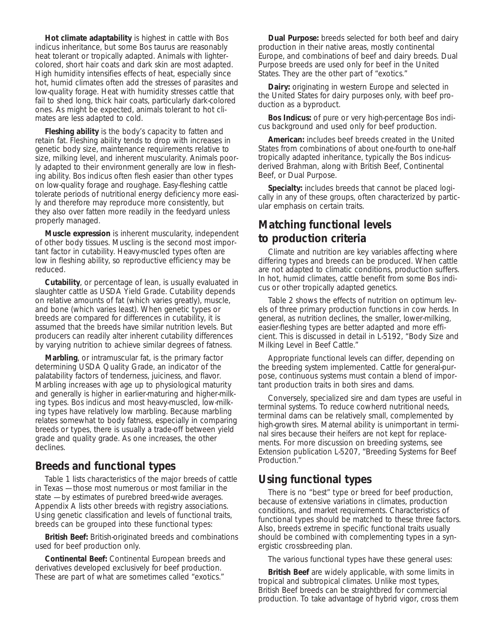**Hot climate adaptability** is highest in cattle with *Bos indicus* inheritance, but some *Bos taurus* are reasonably heat tolerant or tropically adapted. Animals with lightercolored, short hair coats and dark skin are most adapted. High humidity intensifies effects of heat, especially since hot, humid climates often add the stresses of parasites and low-quality forage. Heat with humidity stresses cattle that fail to shed long, thick hair coats, particularly dark-colored ones. As might be expected, animals tolerant to hot climates are less adapted to cold.

**Fleshing ability** is the body's capacity to fatten and retain fat. Fleshing ability tends to drop with increases in genetic body size, maintenance requirements relative to size, milking level, and inherent muscularity. Animals poorly adapted to their environment generally are low in fleshing ability. *Bos indicus* often flesh easier than other types on low-quality forage and roughage. Easy-fleshing cattle tolerate periods of nutritional energy deficiency more easily and therefore may reproduce more consistently, but they also over fatten more readily in the feedyard unless properly managed.

**Muscle expression** is inherent muscularity, independent of other body tissues. Muscling is the second most important factor in cutability. Heavy-muscled types often are low in fleshing ability, so reproductive efficiency may be reduced.

**Cutability**, or percentage of lean, is usually evaluated in slaughter cattle as USDA Yield Grade. Cutability depends on relative amounts of fat (which varies greatly), muscle, and bone (which varies least). When genetic types or breeds are compared for differences in cutability, it is assumed that the breeds have similar nutrition levels. But producers can readily alter inherent cutability differences by varying nutrition to achieve similar degrees of fatness.

**Marbling**, or intramuscular fat, is the primary factor determining USDA Quality Grade, an indicator of the palatability factors of tenderness, juiciness, and flavor. Marbling increases with age up to physiological maturity and generally is higher in earlier-maturing and higher-milking types. *Bos indicus* and most heavy-muscled, low-milking types have relatively low marbling. Because marbling relates somewhat to body fatness, especially in comparing breeds or types, there is usually a trade-off between yield grade and quality grade. As one increases, the other declines.

## **Breeds and functional types**

Table 1 lists characteristics of the major breeds of cattle in Texas — those most numerous or most familiar in the state — by estimates of purebred breed-wide averages. Appendix A lists other breeds with registry associations. Using genetic classification and levels of functional traits, breeds can be grouped into these functional types:

**British Beef:** British-originated breeds and combinations used for beef production only.

**Continental Beef:** Continental European breeds and derivatives developed exclusively for beef production. These are part of what are sometimes called "exotics."

**Dual Purpose:** breeds selected for both beef and dairy production in their native areas, mostly continental Europe, and combinations of beef and dairy breeds. Dual Purpose breeds are used only for beef in the United States. They are the other part of "exotics."

**Dairy:** originating in western Europe and selected in the United States for dairy purposes only, with beef production as a byproduct.

**Bos Indicus:** of pure or very high-percentage *Bos indicus* background and used only for beef production.

**American:** includes beef breeds created in the United States from combinations of about one-fourth to one-half tropically adapted inheritance, typically the *Bos indicus*derived Brahman, along with British Beef, Continental Beef, or Dual Purpose.

**Specialty:** includes breeds that cannot be placed logically in any of these groups, often characterized by particular emphasis on certain traits.

# **Matching functional levels to production criteria**

Climate and nutrition are key variables affecting where differing types and breeds can be produced. When cattle are not adapted to climatic conditions, production suffers. In hot, humid climates, cattle benefit from some *Bos indicus* or other tropically adapted genetics.

Table 2 shows the effects of nutrition on optimum levels of three primary production functions in cow herds. In general, as nutrition declines, the smaller, lower-milking, easier-fleshing types are better adapted and more efficient. This is discussed in detail in L-5192, "Body Size and Milking Level in Beef Cattle."

Appropriate functional levels can differ, depending on the breeding system implemented. Cattle for general-purpose, continuous systems must contain a blend of important production traits in both sires and dams.

Conversely, specialized sire and dam types are useful in terminal systems. To reduce cowherd nutritional needs, terminal dams can be relatively small, complemented by high-growth sires. Maternal ability is unimportant in terminal sires because their heifers are not kept for replacements. For more discussion on breeding systems, see Extension publication L-5207, "Breeding Systems for Beef Production."

## **Using functional types**

There is no "best" type or breed for beef production, because of extensive variations in climates, production conditions, and market requirements. Characteristics of functional types should be matched to these three factors. Also, breeds extreme in specific functional traits usually should be combined with complementing types in a synergistic crossbreeding plan.

The various functional types have these general uses:

**British Beef** are widely applicable, with some limits in tropical and subtropical climates. Unlike most types, British Beef breeds can be straightbred for commercial production. To take advantage of hybrid vigor, cross them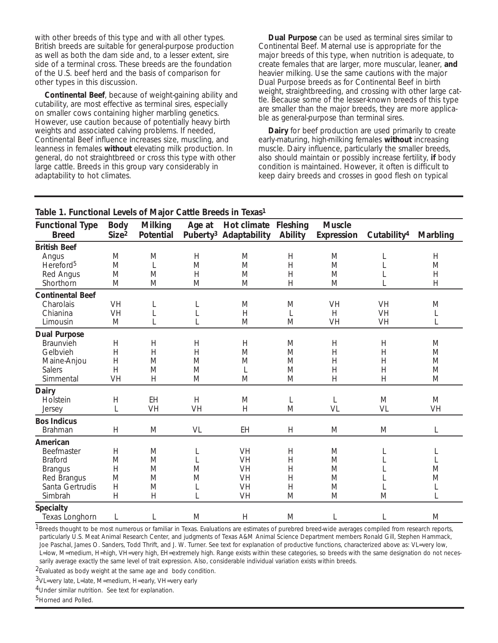with other breeds of this type and with all other types. British breeds are suitable for general-purpose production as well as both the dam side and, to a lesser extent, sire side of a terminal cross. These breeds are the foundation of the U.S. beef herd and the basis of comparison for other types in this discussion.

**Continental Beef**, because of weight-gaining ability and cutability, are most effective as terminal sires, especially on smaller cows containing higher marbling genetics. However, use caution because of potentially heavy birth weights and associated calving problems. If needed, Continental Beef influence increases size, muscling, and leanness in females **without** elevating milk production. In general, do not straightbreed or cross this type with other large cattle. Breeds in this group vary considerably in adaptability to hot climates.

**Dual Purpose** can be used as terminal sires similar to Continental Beef. Maternal use is appropriate for the major breeds of this type, when nutrition is adequate, to create females that are larger, more muscular, leaner, **and** heavier milking. Use the same cautions with the major Dual Purpose breeds as for Continental Beef in birth weight, straightbreeding, and crossing with other large cattle. Because some of the lesser-known breeds of this type are smaller than the major breeds, they are more applicable as general-purpose than terminal sires.

**Dairy** for beef production are used primarily to create early-maturing, high-milking females **without** increasing muscle. Dairy influence, particularly the smaller breeds, also should maintain or possibly increase fertility, **if** body condition is maintained. However, it often is difficult to keep dairy breeds and crosses in good flesh on typical

| Table 1. Functional Levels of Major Cattle Breeds in Texas <sup>1</sup> |                                  |                                    |           |                                                                  |                |                                    |                         |                 |  |
|-------------------------------------------------------------------------|----------------------------------|------------------------------------|-----------|------------------------------------------------------------------|----------------|------------------------------------|-------------------------|-----------------|--|
| <b>Functional Type</b><br><b>Breed</b>                                  | <b>Body</b><br>Size <sup>2</sup> | <b>Milking</b><br><b>Potential</b> | Age at    | <b>Hot climate Fleshing</b><br>Puberty <sup>3</sup> Adaptability | <b>Ability</b> | <b>Muscle</b><br><b>Expression</b> | Cutability <sup>4</sup> | <b>Marbling</b> |  |
| <b>British Beef</b>                                                     |                                  |                                    |           |                                                                  |                |                                    |                         |                 |  |
| Angus                                                                   | M                                | M                                  | H         | M                                                                | H              | M                                  | L                       | H               |  |
| Hereford <sup>5</sup>                                                   | M                                | $\mathbf{L}$                       | M         | M                                                                | H              | M                                  | L                       | M               |  |
| <b>Red Angus</b>                                                        | M                                | M                                  | H         | M                                                                | H              | M                                  | L                       | H               |  |
| Shorthorn                                                               | M                                | $\mathbf M$                        | M         | $\mathbf M$                                                      | H              | M                                  | L                       | H               |  |
| <b>Continental Beef</b>                                                 |                                  |                                    |           |                                                                  |                |                                    |                         |                 |  |
| Charolais                                                               | <b>VH</b>                        | L                                  | L         | M                                                                | M              | <b>VH</b>                          | <b>VH</b>               | M               |  |
| Chianina                                                                | <b>VH</b>                        | L                                  | L         | H                                                                | L              | H                                  | <b>VH</b>               | L               |  |
| Limousin                                                                | M                                | $\mathbf{L}$                       | L         | M                                                                | M              | <b>VH</b>                          | <b>VH</b>               | L               |  |
| <b>Dual Purpose</b>                                                     |                                  |                                    |           |                                                                  |                |                                    |                         |                 |  |
| <b>Braunvieh</b>                                                        | H                                | H                                  | H         | H                                                                | M              | H                                  | H                       | M               |  |
| Gelbvieh                                                                | H                                | H                                  | H         | M                                                                | M              | H                                  | H                       | M               |  |
| Maine-Anjou                                                             | H                                | M                                  | M         | M                                                                | M              | H                                  | H                       | M               |  |
| <b>Salers</b>                                                           | H                                | $\mathbf M$                        | M         | L                                                                | M              | H                                  | H                       | M               |  |
| Simmental                                                               | <b>VH</b>                        | H                                  | M         | M                                                                | M              | H                                  | H                       | $\mathbf M$     |  |
| <b>Dairy</b>                                                            |                                  |                                    |           |                                                                  |                |                                    |                         |                 |  |
| Holstein                                                                | H                                | <b>EH</b>                          | H         | M                                                                | L              | L                                  | M                       | M               |  |
| <b>Jersey</b>                                                           | L                                | <b>VH</b>                          | <b>VH</b> | H                                                                | M              | <b>VL</b>                          | <b>VL</b>               | <b>VH</b>       |  |
| <b>Bos Indicus</b>                                                      |                                  |                                    |           |                                                                  |                |                                    |                         |                 |  |
| <b>Brahman</b>                                                          | H                                | M                                  | <b>VL</b> | <b>EH</b>                                                        | H              | M                                  | M                       | L               |  |
| <b>American</b>                                                         |                                  |                                    |           |                                                                  |                |                                    |                         |                 |  |
| <b>Beefmaster</b>                                                       | H                                | M                                  | L         | VH                                                               | H              | M                                  | L                       | L               |  |
| <b>Braford</b>                                                          | M                                | M                                  | L         | <b>VH</b>                                                        | H              | M                                  | L                       | L               |  |
| <b>Brangus</b>                                                          | H                                | M                                  | M         | <b>VH</b>                                                        | H              | M                                  | L                       | M               |  |
| <b>Red Brangus</b>                                                      | M                                | M                                  | M         | VH                                                               | H              | M                                  | L                       | M               |  |
| Santa Gertrudis                                                         | H                                | M                                  | L         | <b>VH</b>                                                        | H              | M                                  | L                       | L               |  |
| Simbrah                                                                 | H                                | H                                  | L         | <b>VH</b>                                                        | M              | M                                  | M                       | L               |  |
| <b>Specialty</b>                                                        |                                  |                                    |           |                                                                  |                |                                    |                         |                 |  |
| <b>Texas Longhorn</b>                                                   | L                                | L                                  | M         | H                                                                | M              | L                                  | L                       | M               |  |

**Table 1. Functional Levels of Major Cattle Breeds in Texas1**

 $<sup>1</sup>$ Breeds thought to be most numerous or familiar in Texas. Evaluations are estimates of purebred breed-wide averages compiled from research reports,</sup> particularly U.S. Meat Animal Research Center, and judgments of Texas A&M Animal Science Department members Ronald Gill, Stephen Hammack, Joe Paschal, James O. Sanders, Todd Thrift, and J. W. Turner. See text for explanation of productive functions, characterized above as: VL=very low, L=low, M=medium, H=high, VH=very high, EH=extremely high. Range exists within these categories, so breeds with the same designation do not necessarily average exactly the same level of trait expression. Also, considerable individual variation exists within breeds.

2Evaluated as body weight at the same age and body condition.

3VL=very late, L=late, M=medium, H=early, VH=very early

4Under similar nutrition. See text for explanation.

<sup>5</sup>Horned and Polled.